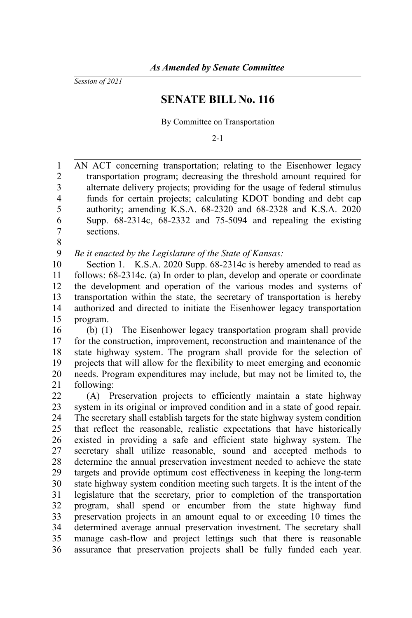*Session of 2021*

## **SENATE BILL No. 116**

By Committee on Transportation

 $2 - 1$ 

AN ACT concerning transportation; relating to the Eisenhower legacy transportation program; decreasing the threshold amount required for alternate delivery projects; providing for the usage of federal stimulus funds for certain projects; calculating KDOT bonding and debt cap authority; amending K.S.A. 68-2320 and 68-2328 and K.S.A. 2020 Supp. 68-2314c, 68-2332 and 75-5094 and repealing the existing sections. 1 2 3 4 5 6 7

8

*Be it enacted by the Legislature of the State of Kansas:* 9

Section 1. K.S.A. 2020 Supp. 68-2314c is hereby amended to read as follows: 68-2314c. (a) In order to plan, develop and operate or coordinate the development and operation of the various modes and systems of transportation within the state, the secretary of transportation is hereby authorized and directed to initiate the Eisenhower legacy transportation program. 10 11 12 13 14 15

(b) (1) The Eisenhower legacy transportation program shall provide for the construction, improvement, reconstruction and maintenance of the state highway system. The program shall provide for the selection of projects that will allow for the flexibility to meet emerging and economic needs. Program expenditures may include, but may not be limited to, the following: 16 17 18 19 20 21

(A) Preservation projects to efficiently maintain a state highway system in its original or improved condition and in a state of good repair. The secretary shall establish targets for the state highway system condition that reflect the reasonable, realistic expectations that have historically existed in providing a safe and efficient state highway system. The secretary shall utilize reasonable, sound and accepted methods to determine the annual preservation investment needed to achieve the state targets and provide optimum cost effectiveness in keeping the long-term state highway system condition meeting such targets. It is the intent of the legislature that the secretary, prior to completion of the transportation program, shall spend or encumber from the state highway fund preservation projects in an amount equal to or exceeding 10 times the determined average annual preservation investment. The secretary shall manage cash-flow and project lettings such that there is reasonable assurance that preservation projects shall be fully funded each year. 22 23 24 25 26 27 28 29 30 31 32 33 34 35 36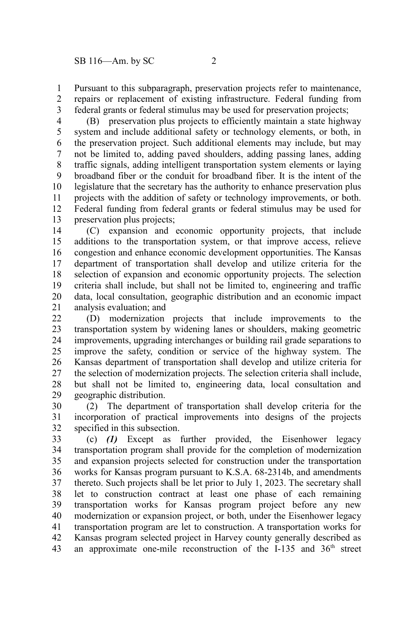Pursuant to this subparagraph, preservation projects refer to maintenance, repairs or replacement of existing infrastructure. Federal funding from federal grants or federal stimulus may be used for preservation projects; 1 2 3

(B) preservation plus projects to efficiently maintain a state highway system and include additional safety or technology elements, or both, in the preservation project. Such additional elements may include, but may not be limited to, adding paved shoulders, adding passing lanes, adding traffic signals, adding intelligent transportation system elements or laying broadband fiber or the conduit for broadband fiber. It is the intent of the legislature that the secretary has the authority to enhance preservation plus projects with the addition of safety or technology improvements, or both. Federal funding from federal grants or federal stimulus may be used for preservation plus projects; 4 5 6 7 8 9 10 11 12 13

(C) expansion and economic opportunity projects, that include additions to the transportation system, or that improve access, relieve congestion and enhance economic development opportunities. The Kansas department of transportation shall develop and utilize criteria for the selection of expansion and economic opportunity projects. The selection criteria shall include, but shall not be limited to, engineering and traffic data, local consultation, geographic distribution and an economic impact analysis evaluation; and 14 15 16 17 18 19 20 21

(D) modernization projects that include improvements to the transportation system by widening lanes or shoulders, making geometric improvements, upgrading interchanges or building rail grade separations to improve the safety, condition or service of the highway system. The Kansas department of transportation shall develop and utilize criteria for the selection of modernization projects. The selection criteria shall include, but shall not be limited to, engineering data, local consultation and geographic distribution. 22 23 24 25 26 27 28 29

(2) The department of transportation shall develop criteria for the incorporation of practical improvements into designs of the projects specified in this subsection. 30 31 32

(c) *(1)* Except as further provided, the Eisenhower legacy transportation program shall provide for the completion of modernization and expansion projects selected for construction under the transportation works for Kansas program pursuant to K.S.A. 68-2314b, and amendments thereto. Such projects shall be let prior to July 1, 2023. The secretary shall let to construction contract at least one phase of each remaining transportation works for Kansas program project before any new modernization or expansion project, or both, under the Eisenhower legacy transportation program are let to construction. A transportation works for Kansas program selected project in Harvey county generally described as an approximate one-mile reconstruction of the I-135 and  $36<sup>th</sup>$  street 33 34 35 36 37 38 39 40 41 42 43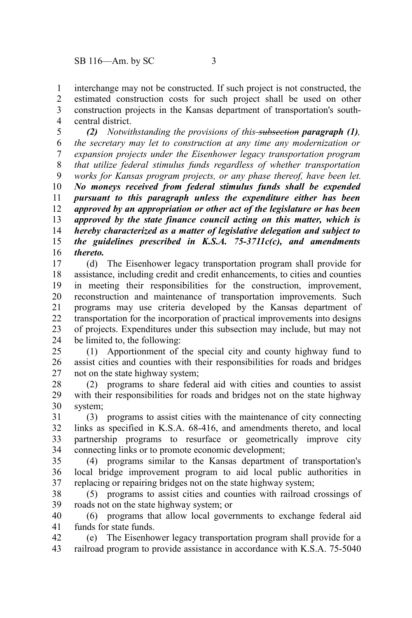interchange may not be constructed. If such project is not constructed, the estimated construction costs for such project shall be used on other construction projects in the Kansas department of transportation's southcentral district. 1 2 3 4

*(2) Notwithstanding the provisions of this subsection paragraph (1), the secretary may let to construction at any time any modernization or expansion projects under the Eisenhower legacy transportation program that utilize federal stimulus funds regardless of whether transportation works for Kansas program projects, or any phase thereof, have been let. No moneys received from federal stimulus funds shall be expended pursuant to this paragraph unless the expenditure either has been approved by an appropriation or other act of the legislature or has been approved by the state finance council acting on this matter, which is hereby characterized as a matter of legislative delegation and subject to the guidelines prescribed in K.S.A. 75-3711c(c), and amendments thereto.* 5 6 7 8 9 10 11 12 13 14 15 16

(d) The Eisenhower legacy transportation program shall provide for assistance, including credit and credit enhancements, to cities and counties in meeting their responsibilities for the construction, improvement, reconstruction and maintenance of transportation improvements. Such programs may use criteria developed by the Kansas department of transportation for the incorporation of practical improvements into designs of projects. Expenditures under this subsection may include, but may not be limited to, the following: 17 18 19 20 21 22 23 24

(1) Apportionment of the special city and county highway fund to assist cities and counties with their responsibilities for roads and bridges not on the state highway system; 25 26 27

(2) programs to share federal aid with cities and counties to assist with their responsibilities for roads and bridges not on the state highway system; 28 29 30

(3) programs to assist cities with the maintenance of city connecting links as specified in K.S.A. 68-416, and amendments thereto, and local partnership programs to resurface or geometrically improve city connecting links or to promote economic development; 31 32 33 34

(4) programs similar to the Kansas department of transportation's local bridge improvement program to aid local public authorities in replacing or repairing bridges not on the state highway system; 35 36 37

(5) programs to assist cities and counties with railroad crossings of roads not on the state highway system; or 38 39

(6) programs that allow local governments to exchange federal aid funds for state funds. 40 41

(e) The Eisenhower legacy transportation program shall provide for a railroad program to provide assistance in accordance with K.S.A. 75-5040 42 43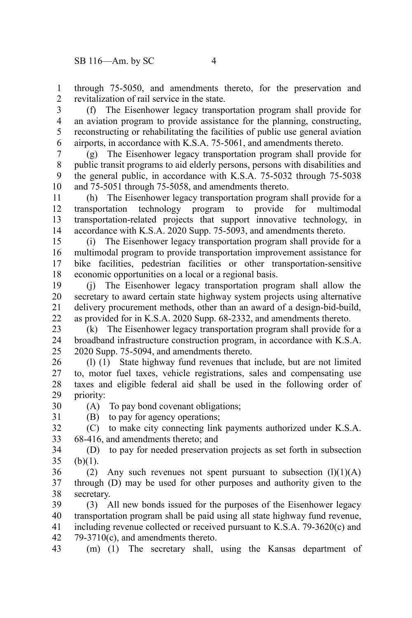through 75-5050, and amendments thereto, for the preservation and revitalization of rail service in the state. 1 2

(f) The Eisenhower legacy transportation program shall provide for an aviation program to provide assistance for the planning, constructing, reconstructing or rehabilitating the facilities of public use general aviation airports, in accordance with K.S.A. 75-5061, and amendments thereto. 3 4 5 6

(g) The Eisenhower legacy transportation program shall provide for public transit programs to aid elderly persons, persons with disabilities and the general public, in accordance with K.S.A. 75-5032 through 75-5038 and 75-5051 through 75-5058, and amendments thereto. 7 8 9 10

(h) The Eisenhower legacy transportation program shall provide for a transportation technology program to provide for multimodal transportation-related projects that support innovative technology, in accordance with K.S.A. 2020 Supp. 75-5093, and amendments thereto. 11 12 13 14

(i) The Eisenhower legacy transportation program shall provide for a multimodal program to provide transportation improvement assistance for bike facilities, pedestrian facilities or other transportation-sensitive economic opportunities on a local or a regional basis. 15 16 17 18

(j) The Eisenhower legacy transportation program shall allow the secretary to award certain state highway system projects using alternative delivery procurement methods, other than an award of a design-bid-build, as provided for in K.S.A. 2020 Supp. 68-2332, and amendments thereto. 19 20 21 22

(k) The Eisenhower legacy transportation program shall provide for a broadband infrastructure construction program, in accordance with K.S.A. 2020 Supp. 75-5094, and amendments thereto. 23 24 25

(l) (1) State highway fund revenues that include, but are not limited to, motor fuel taxes, vehicle registrations, sales and compensating use taxes and eligible federal aid shall be used in the following order of priority: 26 27 28 29

(A) To pay bond covenant obligations; 30

31

(B) to pay for agency operations; (C) to make city connecting link payments authorized under K.S.A. 32

68-416, and amendments thereto; and 33

(D) to pay for needed preservation projects as set forth in subsection  $(b)(1)$ . 34 35

(2) Any such revenues not spent pursuant to subsection  $(l)(1)(A)$ through (D) may be used for other purposes and authority given to the secretary. 36 37 38

(3) All new bonds issued for the purposes of the Eisenhower legacy transportation program shall be paid using all state highway fund revenue, including revenue collected or received pursuant to K.S.A. 79-3620(c) and 79-3710(c), and amendments thereto. 39 40 41 42

(m) (1) The secretary shall, using the Kansas department of 43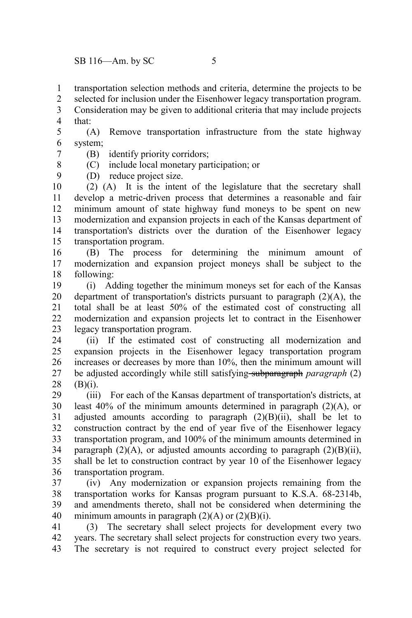transportation selection methods and criteria, determine the projects to be 1

selected for inclusion under the Eisenhower legacy transportation program. 2

Consideration may be given to additional criteria that may include projects that: 3 4

(A) Remove transportation infrastructure from the state highway system; 5 6

(B) identify priority corridors; 7

8 9 (C) include local monetary participation; or

(D) reduce project size.

(2) (A) It is the intent of the legislature that the secretary shall develop a metric-driven process that determines a reasonable and fair minimum amount of state highway fund moneys to be spent on new modernization and expansion projects in each of the Kansas department of transportation's districts over the duration of the Eisenhower legacy transportation program. 10 11 12 13 14 15

(B) The process for determining the minimum amount of modernization and expansion project moneys shall be subject to the following: 16 17 18

(i) Adding together the minimum moneys set for each of the Kansas department of transportation's districts pursuant to paragraph  $(2)(A)$ , the total shall be at least 50% of the estimated cost of constructing all modernization and expansion projects let to contract in the Eisenhower legacy transportation program. 19 20 21 22 23

(ii) If the estimated cost of constructing all modernization and expansion projects in the Eisenhower legacy transportation program increases or decreases by more than 10%, then the minimum amount will be adjusted accordingly while still satisfying subparagraph *paragraph* (2)  $(B)(i)$ . 24 25 26 27 28

(iii) For each of the Kansas department of transportation's districts, at least 40% of the minimum amounts determined in paragraph (2)(A), or adjusted amounts according to paragraph  $(2)(B)(ii)$ , shall be let to construction contract by the end of year five of the Eisenhower legacy transportation program, and 100% of the minimum amounts determined in paragraph  $(2)(A)$ , or adjusted amounts according to paragraph  $(2)(B)(ii)$ , shall be let to construction contract by year 10 of the Eisenhower legacy transportation program. 29 30 31 32 33 34 35 36

(iv) Any modernization or expansion projects remaining from the transportation works for Kansas program pursuant to K.S.A. 68-2314b, and amendments thereto, shall not be considered when determining the minimum amounts in paragraph  $(2)(A)$  or  $(2)(B)(i)$ . 37 38 39 40

(3) The secretary shall select projects for development every two years. The secretary shall select projects for construction every two years. The secretary is not required to construct every project selected for 41 42 43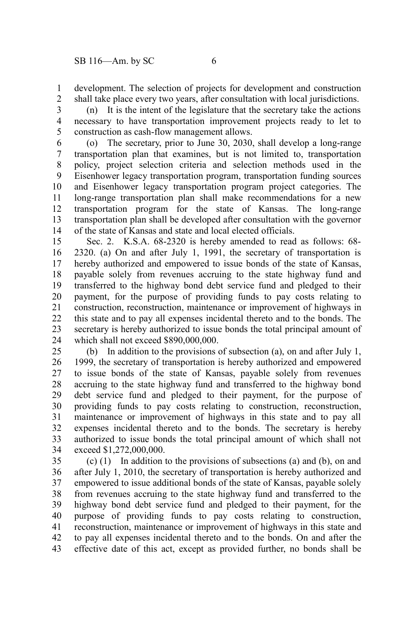development. The selection of projects for development and construction shall take place every two years, after consultation with local jurisdictions. 1 2

(n) It is the intent of the legislature that the secretary take the actions necessary to have transportation improvement projects ready to let to construction as cash-flow management allows. 3 4 5

(o) The secretary, prior to June 30, 2030, shall develop a long-range transportation plan that examines, but is not limited to, transportation policy, project selection criteria and selection methods used in the Eisenhower legacy transportation program, transportation funding sources and Eisenhower legacy transportation program project categories. The long-range transportation plan shall make recommendations for a new transportation program for the state of Kansas. The long-range transportation plan shall be developed after consultation with the governor of the state of Kansas and state and local elected officials. 6 7 8 9 10 11 12 13 14

Sec. 2. K.S.A. 68-2320 is hereby amended to read as follows: 68- 2320. (a) On and after July 1, 1991, the secretary of transportation is hereby authorized and empowered to issue bonds of the state of Kansas, payable solely from revenues accruing to the state highway fund and transferred to the highway bond debt service fund and pledged to their payment, for the purpose of providing funds to pay costs relating to construction, reconstruction, maintenance or improvement of highways in this state and to pay all expenses incidental thereto and to the bonds. The secretary is hereby authorized to issue bonds the total principal amount of which shall not exceed \$890,000,000. 15 16 17 18 19 20 21 22 23 24

(b) In addition to the provisions of subsection (a), on and after July 1, 1999, the secretary of transportation is hereby authorized and empowered to issue bonds of the state of Kansas, payable solely from revenues accruing to the state highway fund and transferred to the highway bond debt service fund and pledged to their payment, for the purpose of providing funds to pay costs relating to construction, reconstruction, maintenance or improvement of highways in this state and to pay all expenses incidental thereto and to the bonds. The secretary is hereby authorized to issue bonds the total principal amount of which shall not exceed \$1,272,000,000. 25 26 27 28 29 30 31 32 33 34

(c) (1) In addition to the provisions of subsections (a) and (b), on and after July 1, 2010, the secretary of transportation is hereby authorized and empowered to issue additional bonds of the state of Kansas, payable solely from revenues accruing to the state highway fund and transferred to the highway bond debt service fund and pledged to their payment, for the purpose of providing funds to pay costs relating to construction, reconstruction, maintenance or improvement of highways in this state and to pay all expenses incidental thereto and to the bonds. On and after the effective date of this act, except as provided further, no bonds shall be 35 36 37 38 39 40 41 42 43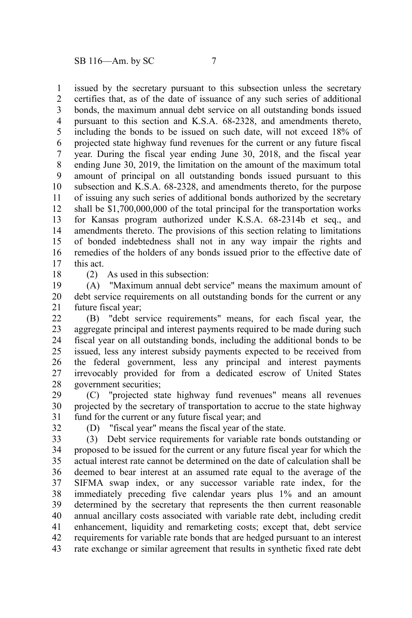issued by the secretary pursuant to this subsection unless the secretary certifies that, as of the date of issuance of any such series of additional bonds, the maximum annual debt service on all outstanding bonds issued pursuant to this section and K.S.A. 68-2328, and amendments thereto, including the bonds to be issued on such date, will not exceed 18% of projected state highway fund revenues for the current or any future fiscal year. During the fiscal year ending June 30, 2018, and the fiscal year ending June 30, 2019, the limitation on the amount of the maximum total amount of principal on all outstanding bonds issued pursuant to this subsection and K.S.A. 68-2328, and amendments thereto, for the purpose of issuing any such series of additional bonds authorized by the secretary shall be \$1,700,000,000 of the total principal for the transportation works for Kansas program authorized under K.S.A. 68-2314b et seq., and amendments thereto. The provisions of this section relating to limitations of bonded indebtedness shall not in any way impair the rights and remedies of the holders of any bonds issued prior to the effective date of this act. 1 2 3 4 5 6 7 8 9 10 11 12 13 14 15 16 17

18

(2) As used in this subsection:

(A) "Maximum annual debt service" means the maximum amount of debt service requirements on all outstanding bonds for the current or any future fiscal year; 19 20 21

(B) "debt service requirements" means, for each fiscal year, the aggregate principal and interest payments required to be made during such fiscal year on all outstanding bonds, including the additional bonds to be issued, less any interest subsidy payments expected to be received from the federal government, less any principal and interest payments irrevocably provided for from a dedicated escrow of United States government securities;  $22$ 23 24 25 26 27 28

(C) "projected state highway fund revenues" means all revenues projected by the secretary of transportation to accrue to the state highway fund for the current or any future fiscal year; and 29 30 31

32

(D) "fiscal year" means the fiscal year of the state.

(3) Debt service requirements for variable rate bonds outstanding or proposed to be issued for the current or any future fiscal year for which the actual interest rate cannot be determined on the date of calculation shall be deemed to bear interest at an assumed rate equal to the average of the SIFMA swap index, or any successor variable rate index, for the immediately preceding five calendar years plus 1% and an amount determined by the secretary that represents the then current reasonable annual ancillary costs associated with variable rate debt, including credit enhancement, liquidity and remarketing costs; except that, debt service requirements for variable rate bonds that are hedged pursuant to an interest rate exchange or similar agreement that results in synthetic fixed rate debt 33 34 35 36 37 38 39 40 41 42 43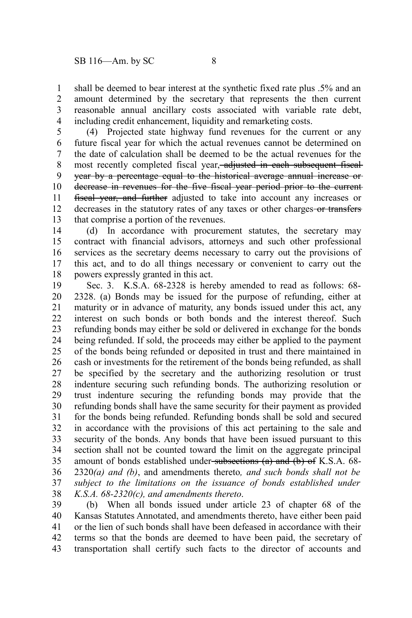shall be deemed to bear interest at the synthetic fixed rate plus .5% and an amount determined by the secretary that represents the then current reasonable annual ancillary costs associated with variable rate debt, including credit enhancement, liquidity and remarketing costs. 1 2 3 4

(4) Projected state highway fund revenues for the current or any future fiscal year for which the actual revenues cannot be determined on the date of calculation shall be deemed to be the actual revenues for the most recently completed fiscal year, adjusted in each subsequent fiscalyear by a percentage equal to the historical average annual increase or decrease in revenues for the five fiscal year period prior to the current fiscal year, and further adjusted to take into account any increases or decreases in the statutory rates of any taxes or other charges-or transfersthat comprise a portion of the revenues. 5 6 7 8 9 10 11 12 13

(d) In accordance with procurement statutes, the secretary may contract with financial advisors, attorneys and such other professional services as the secretary deems necessary to carry out the provisions of this act, and to do all things necessary or convenient to carry out the powers expressly granted in this act. 14 15 16 17 18

Sec. 3. K.S.A. 68-2328 is hereby amended to read as follows: 68- 2328. (a) Bonds may be issued for the purpose of refunding, either at maturity or in advance of maturity, any bonds issued under this act, any interest on such bonds or both bonds and the interest thereof. Such refunding bonds may either be sold or delivered in exchange for the bonds being refunded. If sold, the proceeds may either be applied to the payment of the bonds being refunded or deposited in trust and there maintained in cash or investments for the retirement of the bonds being refunded, as shall be specified by the secretary and the authorizing resolution or trust indenture securing such refunding bonds. The authorizing resolution or trust indenture securing the refunding bonds may provide that the refunding bonds shall have the same security for their payment as provided for the bonds being refunded. Refunding bonds shall be sold and secured in accordance with the provisions of this act pertaining to the sale and security of the bonds. Any bonds that have been issued pursuant to this section shall not be counted toward the limit on the aggregate principal amount of bonds established under subsections (a) and (b) of K.S.A. 68-2320*(a) and (b)*, and amendments thereto*, and such bonds shall not be subject to the limitations on the issuance of bonds established under K.S.A. 68-2320(c), and amendments thereto*. 19 20 21 22 23 24 25 26 27 28 29 30 31 32 33 34 35 36 37 38

(b) When all bonds issued under article 23 of chapter 68 of the Kansas Statutes Annotated, and amendments thereto, have either been paid or the lien of such bonds shall have been defeased in accordance with their terms so that the bonds are deemed to have been paid, the secretary of transportation shall certify such facts to the director of accounts and 39 40 41 42 43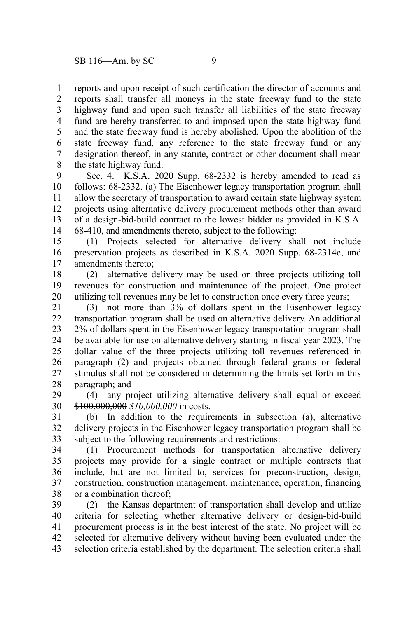reports and upon receipt of such certification the director of accounts and reports shall transfer all moneys in the state freeway fund to the state highway fund and upon such transfer all liabilities of the state freeway fund are hereby transferred to and imposed upon the state highway fund and the state freeway fund is hereby abolished. Upon the abolition of the state freeway fund, any reference to the state freeway fund or any designation thereof, in any statute, contract or other document shall mean the state highway fund. 1 2 3 4 5 6 7 8

Sec. 4. K.S.A. 2020 Supp. 68-2332 is hereby amended to read as follows: 68-2332. (a) The Eisenhower legacy transportation program shall allow the secretary of transportation to award certain state highway system projects using alternative delivery procurement methods other than award of a design-bid-build contract to the lowest bidder as provided in K.S.A. 68-410, and amendments thereto, subject to the following: 9 10 11 12 13 14

(1) Projects selected for alternative delivery shall not include preservation projects as described in K.S.A. 2020 Supp. 68-2314c, and amendments thereto; 15 16 17

(2) alternative delivery may be used on three projects utilizing toll revenues for construction and maintenance of the project. One project utilizing toll revenues may be let to construction once every three years; 18 19 20

(3) not more than 3% of dollars spent in the Eisenhower legacy transportation program shall be used on alternative delivery. An additional 2% of dollars spent in the Eisenhower legacy transportation program shall be available for use on alternative delivery starting in fiscal year 2023. The dollar value of the three projects utilizing toll revenues referenced in paragraph (2) and projects obtained through federal grants or federal stimulus shall not be considered in determining the limits set forth in this paragraph; and 21 22 23 24 25 26 27 28

(4) any project utilizing alternative delivery shall equal or exceed \$100,000,000 *\$10,000,000* in costs. 29 30

(b) In addition to the requirements in subsection (a), alternative delivery projects in the Eisenhower legacy transportation program shall be subject to the following requirements and restrictions: 31 32 33

(1) Procurement methods for transportation alternative delivery projects may provide for a single contract or multiple contracts that include, but are not limited to, services for preconstruction, design, construction, construction management, maintenance, operation, financing or a combination thereof; 34 35 36 37 38

(2) the Kansas department of transportation shall develop and utilize criteria for selecting whether alternative delivery or design-bid-build procurement process is in the best interest of the state. No project will be selected for alternative delivery without having been evaluated under the selection criteria established by the department. The selection criteria shall 39 40 41 42 43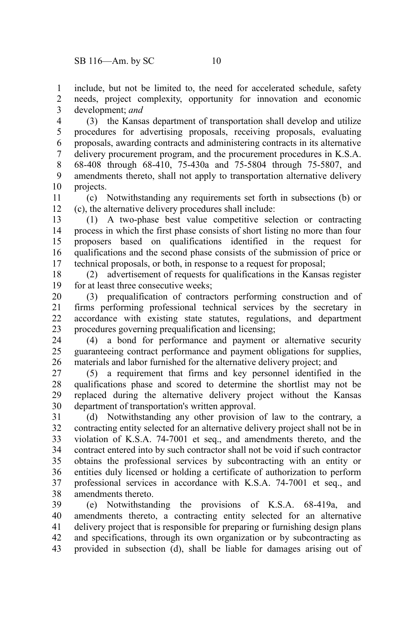include, but not be limited to, the need for accelerated schedule, safety needs, project complexity, opportunity for innovation and economic development; *and* 1 2 3

(3) the Kansas department of transportation shall develop and utilize procedures for advertising proposals, receiving proposals, evaluating proposals, awarding contracts and administering contracts in its alternative delivery procurement program, and the procurement procedures in K.S.A. 68-408 through 68-410, 75-430a and 75-5804 through 75-5807, and amendments thereto, shall not apply to transportation alternative delivery projects. 4 5 6 7 8 9 10

(c) Notwithstanding any requirements set forth in subsections (b) or (c), the alternative delivery procedures shall include: 11 12

(1) A two-phase best value competitive selection or contracting process in which the first phase consists of short listing no more than four proposers based on qualifications identified in the request for qualifications and the second phase consists of the submission of price or technical proposals, or both, in response to a request for proposal; 13 14 15 16 17

(2) advertisement of requests for qualifications in the Kansas register for at least three consecutive weeks; 18 19

(3) prequalification of contractors performing construction and of firms performing professional technical services by the secretary in accordance with existing state statutes, regulations, and department procedures governing prequalification and licensing; 20 21 22 23

(4) a bond for performance and payment or alternative security guaranteeing contract performance and payment obligations for supplies, materials and labor furnished for the alternative delivery project; and 24 25 26

(5) a requirement that firms and key personnel identified in the qualifications phase and scored to determine the shortlist may not be replaced during the alternative delivery project without the Kansas department of transportation's written approval. 27 28 29 30

(d) Notwithstanding any other provision of law to the contrary, a contracting entity selected for an alternative delivery project shall not be in violation of K.S.A. 74-7001 et seq., and amendments thereto, and the contract entered into by such contractor shall not be void if such contractor obtains the professional services by subcontracting with an entity or entities duly licensed or holding a certificate of authorization to perform professional services in accordance with K.S.A. 74-7001 et seq., and amendments thereto. 31 32 33 34 35 36 37 38

(e) Notwithstanding the provisions of K.S.A. 68-419a, and amendments thereto, a contracting entity selected for an alternative delivery project that is responsible for preparing or furnishing design plans and specifications, through its own organization or by subcontracting as provided in subsection (d), shall be liable for damages arising out of 39 40 41 42 43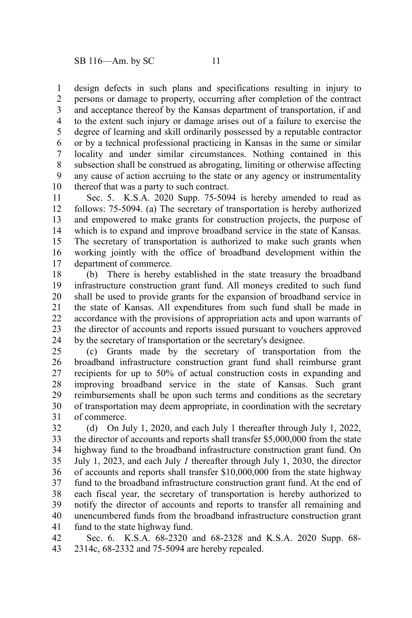design defects in such plans and specifications resulting in injury to persons or damage to property, occurring after completion of the contract and acceptance thereof by the Kansas department of transportation, if and to the extent such injury or damage arises out of a failure to exercise the degree of learning and skill ordinarily possessed by a reputable contractor or by a technical professional practicing in Kansas in the same or similar locality and under similar circumstances. Nothing contained in this subsection shall be construed as abrogating, limiting or otherwise affecting any cause of action accruing to the state or any agency or instrumentality thereof that was a party to such contract. 1 2 3 4 5 6 7 8 9 10

Sec. 5. K.S.A. 2020 Supp. 75-5094 is hereby amended to read as follows: 75-5094. (a) The secretary of transportation is hereby authorized and empowered to make grants for construction projects, the purpose of which is to expand and improve broadband service in the state of Kansas. The secretary of transportation is authorized to make such grants when working jointly with the office of broadband development within the department of commerce. 11 12 13 14 15 16 17

(b) There is hereby established in the state treasury the broadband infrastructure construction grant fund. All moneys credited to such fund shall be used to provide grants for the expansion of broadband service in the state of Kansas. All expenditures from such fund shall be made in accordance with the provisions of appropriation acts and upon warrants of the director of accounts and reports issued pursuant to vouchers approved by the secretary of transportation or the secretary's designee. 18 19 20 21 22 23 24

(c) Grants made by the secretary of transportation from the broadband infrastructure construction grant fund shall reimburse grant recipients for up to 50% of actual construction costs in expanding and improving broadband service in the state of Kansas. Such grant reimbursements shall be upon such terms and conditions as the secretary of transportation may deem appropriate, in coordination with the secretary of commerce. 25 26 27 28 29 30 31

(d) On July 1, 2020, and each July 1 thereafter through July 1, 2022, the director of accounts and reports shall transfer \$5,000,000 from the state highway fund to the broadband infrastructure construction grant fund. On July 1, 2023, and each July *1* thereafter through July 1, 2030, the director of accounts and reports shall transfer \$10,000,000 from the state highway fund to the broadband infrastructure construction grant fund. At the end of each fiscal year, the secretary of transportation is hereby authorized to notify the director of accounts and reports to transfer all remaining and unencumbered funds from the broadband infrastructure construction grant fund to the state highway fund. 32 33 34 35 36 37 38 39 40 41

Sec. 6. K.S.A. 68-2320 and 68-2328 and K.S.A. 2020 Supp. 68- 2314c, 68-2332 and 75-5094 are hereby repealed. 42 43